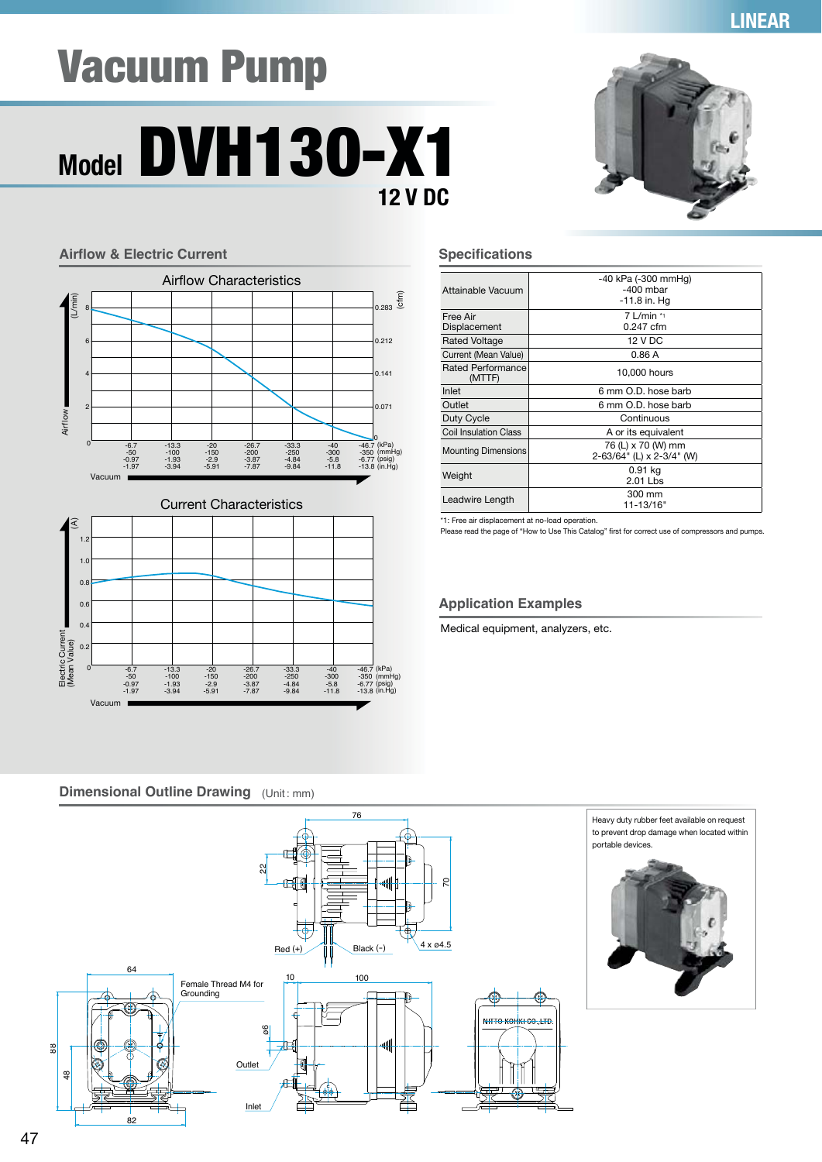## **LINEAR**

# Vacuum Pump

## **Model** DVH130-X1 **12 V DC**





| Attainable Vacuum            | -40 kPa (-300 mmHg)<br>$-400$ mbar<br>$-11.8$ in. Hq |
|------------------------------|------------------------------------------------------|
| Free Air<br>Displacement     | $7$ L/min $*$<br>$0.247$ cfm                         |
| <b>Rated Voltage</b>         | 12 V DC                                              |
| Current (Mean Value)         | 0.86A                                                |
| Rated Performance<br>(MTTF)  | 10,000 hours                                         |
| Inlet                        | 6 mm O.D. hose barb                                  |
| Outlet                       | 6 mm O.D. hose barb                                  |
| Duty Cycle                   | Continuous                                           |
| <b>Coil Insulation Class</b> | A or its equivalent                                  |
| <b>Mounting Dimensions</b>   | 76 (L) x 70 (W) mm<br>2-63/64" (L) x 2-3/4" (W)      |
| Weight                       | 0.91 kg<br>2.01 Lbs                                  |
| Leadwire Length              | 300 mm<br>11-13/16"                                  |

\*1: Free air displacement at no-load operation.

Please read the page of "How to Use This Catalog" first for correct use of compressors and pumps.

## **Application Examples**

Medical equipment, analyzers, etc.

## **Dimensional Outline Drawing** (Unit: mm)

-13.3 -100 -1.93 -3.94

-20 -150 -2.9 -5.91

-26.7 -200 -3.87 -7.87

0 -6,7 -13.3 -20 -26,7 -33.3 -40 -46.7 (kPa)<br>-50 -100 -150 -200 -250 -300 -350 (mmHg)<br>-1.97 -3.94 -5.91 -7.87 -9.84 -11.8 -13.8 (in.Hg)

-33.3 -250 -4.84 -9.84

-40 -300 -5.8 -11.8

-46.7 -350 -6.77 -13.8



Airflow

 $\widehat{\mathcal{L}}$ 

1.2 1.0  $0.8$  $0.6$  $0.4$  $\Omega$ 

Electric Current (Mean Value)

Electric Current<br>(Mean Value)

Vacuum

-6.7 -50 -0.97 -1.97

(L/min)

8

6

4

2